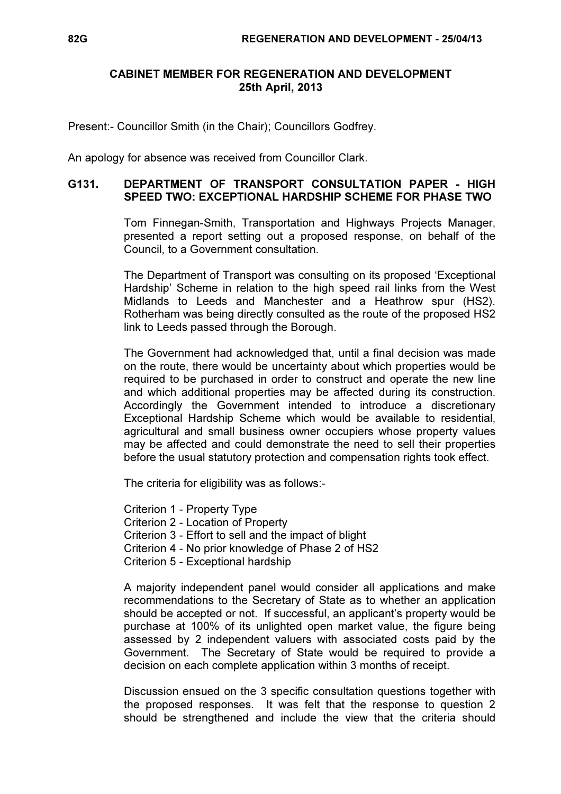## CABINET MEMBER FOR REGENERATION AND DEVELOPMENT 25th April, 2013

Present:- Councillor Smith (in the Chair); Councillors Godfrey.

An apology for absence was received from Councillor Clark.

## G131. DEPARTMENT OF TRANSPORT CONSULTATION PAPER - HIGH SPEED TWO: EXCEPTIONAL HARDSHIP SCHEME FOR PHASE TWO

 Tom Finnegan-Smith, Transportation and Highways Projects Manager, presented a report setting out a proposed response, on behalf of the Council, to a Government consultation.

The Department of Transport was consulting on its proposed 'Exceptional Hardship' Scheme in relation to the high speed rail links from the West Midlands to Leeds and Manchester and a Heathrow spur (HS2). Rotherham was being directly consulted as the route of the proposed HS2 link to Leeds passed through the Borough.

The Government had acknowledged that, until a final decision was made on the route, there would be uncertainty about which properties would be required to be purchased in order to construct and operate the new line and which additional properties may be affected during its construction. Accordingly the Government intended to introduce a discretionary Exceptional Hardship Scheme which would be available to residential, agricultural and small business owner occupiers whose property values may be affected and could demonstrate the need to sell their properties before the usual statutory protection and compensation rights took effect.

The criteria for eligibility was as follows:-

Criterion 1 - Property Type Criterion 2 - Location of Property Criterion 3 - Effort to sell and the impact of blight Criterion 4 - No prior knowledge of Phase 2 of HS2 Criterion 5 - Exceptional hardship

A majority independent panel would consider all applications and make recommendations to the Secretary of State as to whether an application should be accepted or not. If successful, an applicant's property would be purchase at 100% of its unlighted open market value, the figure being assessed by 2 independent valuers with associated costs paid by the Government. The Secretary of State would be required to provide a decision on each complete application within 3 months of receipt.

Discussion ensued on the 3 specific consultation questions together with the proposed responses. It was felt that the response to question 2 should be strengthened and include the view that the criteria should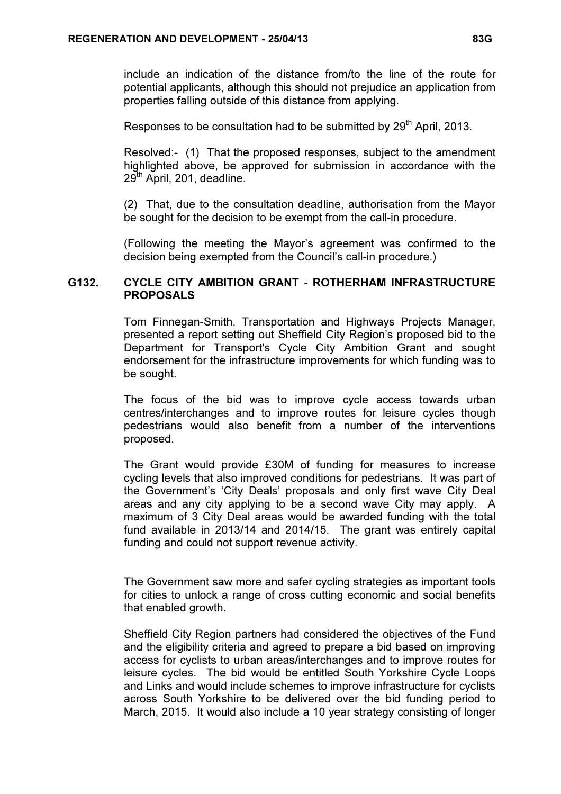include an indication of the distance from/to the line of the route for potential applicants, although this should not prejudice an application from properties falling outside of this distance from applying.

Responses to be consultation had to be submitted by 29<sup>th</sup> April, 2013.

Resolved:- (1) That the proposed responses, subject to the amendment highlighted above, be approved for submission in accordance with the 29<sup>th</sup> April, 201, deadline.

(2) That, due to the consultation deadline, authorisation from the Mayor be sought for the decision to be exempt from the call-in procedure.

(Following the meeting the Mayor's agreement was confirmed to the decision being exempted from the Council's call-in procedure.)

## G132. CYCLE CITY AMBITION GRANT - ROTHERHAM INFRASTRUCTURE PROPOSALS

 Tom Finnegan-Smith, Transportation and Highways Projects Manager, presented a report setting out Sheffield City Region's proposed bid to the Department for Transport's Cycle City Ambition Grant and sought endorsement for the infrastructure improvements for which funding was to be sought.

The focus of the bid was to improve cycle access towards urban centres/interchanges and to improve routes for leisure cycles though pedestrians would also benefit from a number of the interventions proposed.

The Grant would provide £30M of funding for measures to increase cycling levels that also improved conditions for pedestrians. It was part of the Government's 'City Deals' proposals and only first wave City Deal areas and any city applying to be a second wave City may apply. A maximum of 3 City Deal areas would be awarded funding with the total fund available in 2013/14 and 2014/15. The grant was entirely capital funding and could not support revenue activity.

The Government saw more and safer cycling strategies as important tools for cities to unlock a range of cross cutting economic and social benefits that enabled growth.

Sheffield City Region partners had considered the objectives of the Fund and the eligibility criteria and agreed to prepare a bid based on improving access for cyclists to urban areas/interchanges and to improve routes for leisure cycles. The bid would be entitled South Yorkshire Cycle Loops and Links and would include schemes to improve infrastructure for cyclists across South Yorkshire to be delivered over the bid funding period to March, 2015. It would also include a 10 year strategy consisting of longer